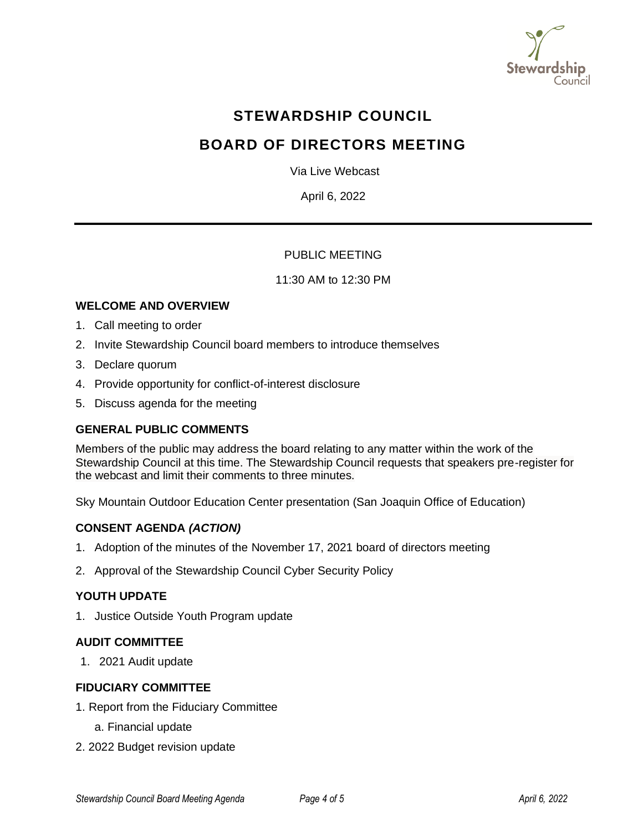

# **STEWARDSHIP COUNCIL**

# **BOARD OF DIRECTORS MEETING**

Via Live Webcast

April 6, 2022

# PUBLIC MEETING

#### 11:30 AM to 12:30 PM

# **WELCOME AND OVERVIEW**

- 1. Call meeting to order
- 2. Invite Stewardship Council board members to introduce themselves
- 3. Declare quorum
- 4. Provide opportunity for conflict-of-interest disclosure
- 5. Discuss agenda for the meeting

# **GENERAL PUBLIC COMMENTS**

Members of the public may address the board relating to any matter within the work of the Stewardship Council at this time. The Stewardship Council requests that speakers pre-register for the webcast and limit their comments to three minutes.

Sky Mountain Outdoor Education Center presentation (San Joaquin Office of Education)

#### **CONSENT AGENDA** *(ACTION)*

- 1. Adoption of the minutes of the November 17, 2021 board of directors meeting
- 2. Approval of the Stewardship Council Cyber Security Policy

#### **YOUTH UPDATE**

1. Justice Outside Youth Program update

#### **AUDIT COMMITTEE**

1. 2021 Audit update

## **FIDUCIARY COMMITTEE**

- 1. Report from the Fiduciary Committee
	- a. Financial update
- 2. 2022 Budget revision update